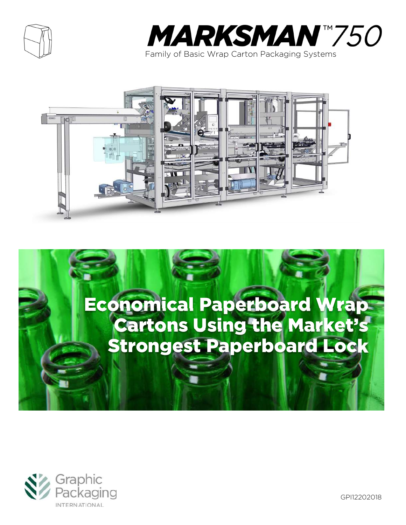









GPI12202018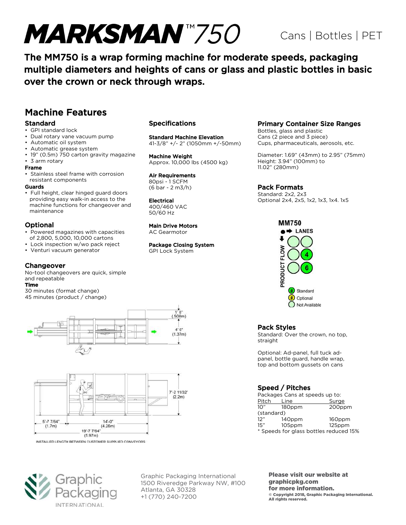# **MARKSMAN**"750

# Cans | Bottles | PET

The MM750 is a wrap forming machine for moderate speeds, packaging multiple diameters and heights of cans or glass and plastic bottles in basic over the crown or neck through wraps.

### Machine Features

#### Standard

- GPI standard lock
- Dual rotary vane vacuum pump
- Automatic oil system
- Automatic grease system
- 19" (0.5m) 750 carton gravity magazine
- 3 arm rotary

#### Frame

• Stainless steel frame with corrosion resistant components

#### Guards

• Full height, clear hinged guard doors providing easy walk-in access to the machine functions for changeover and maintenance

#### Optional

- Powered magazines with capacities of 2,800, 5,000, 10,000 cartons
- Lock inspection w/wo pack reject
- Venturi vacuum generator

#### Changeover

No-tool changeovers are quick, simple and repeatable

#### Time

30 minutes (format change) 45 minutes (product / change)





INSTALLED LENGTH BETWEEN CUSTOMER SUPPLIED CONVEYORS



#### Specifications

#### Standard Machine Elevation

41-3/8" +/- 2" (1050mm +/-50mm)

Machine Weight Approx. 10,000 lbs (4500 kg)

### Air Requirements

80psi - 1 SCFM (6 bar - 2 m3/h)

#### Electrical

400/460 VAC 50/60 Hz

#### Main Drive Motors

AC Gearmotor

#### Package Closing System

GPI Lock System

#### Primary Container Size Ranges

Bottles, glass and plastic Cans (2 piece and 3 piece) Cups, pharmaceuticals, aerosols, etc.

Diameter: 1.69" (43mm) to 2.95" (75mm) Height: 3.94" (100mm) to 11.02" (280mm)

#### Pack Formats

Standard: 2x2, 2x3 Optional 2x4, 2x5, 1x2, 1x3, 1x4. 1x5



#### Pack Styles

Standard: Over the crown, no top, straight

Optional: Ad-panel, full tuck adpanel, bottle guard, handle wrap, top and bottom gussets on cans

#### Speed / Pitches

| Packages Cans at speeds up to:         |        |        |  |  |
|----------------------------------------|--------|--------|--|--|
| Pitch                                  | Line   | Surge  |  |  |
| 10"                                    | 180ppm | 200ppm |  |  |
| (standard)                             |        |        |  |  |
| 12"                                    | 140ppm | 160ppm |  |  |
| 15"                                    | 105ppm | 125ppm |  |  |
| * Speeds for glass bottles reduced 15% |        |        |  |  |

Graphic Packaging International 1500 Riveredge Parkway NW, #100 Atlanta, GA 30328 +1 (770) 240-7200

Please visit our website at graphicpkg.com for more information. © Copyright 2018, Graphic Packaging International. All rights reserved.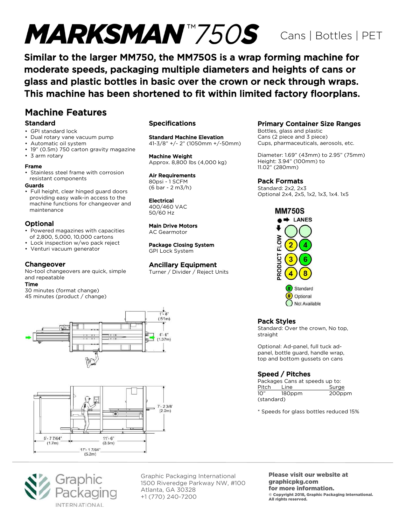# MARKSMAN<sup>T</sup>750S Cans | Bottles | PET

Similar to the larger MM750, the MM750S is a wrap forming machine for moderate speeds, packaging multiple diameters and heights of cans or glass and plastic bottles in basic over the crown or neck through wraps. This machine has been shortened to fit within limited factory floorplans.

### Machine Features

#### Standard

- GPI standard lock
- Dual rotary vane vacuum pump
- Automatic oil system
- 19" (0.5m) 750 carton gravity magazine
- 3 arm rotary

#### Frame

• Stainless steel frame with corrosion resistant components

#### Guards

• Full height, clear hinged guard doors providing easy walk-in access to the machine functions for changeover and maintenance

#### Optional

- Powered magazines with capacities of 2,800, 5,000, 10,000 cartons
- Lock inspection w/wo pack reject
- Venturi vacuum generator

#### **Changeover**

No-tool changeovers are quick, simple and repeatable

#### Time

30 minutes (format change) 45 minutes (product / change)





#### Specifications

Standard Machine Elevation 41-3/8" +/- 2" (1050mm +/-50mm)

Machine Weight Approx. 8,800 lbs (4,000 kg)

Air Requirements

80psi - 1 SCFM (6 bar - 2 m3/h)

Electrical 400/460 VAC 50/60 Hz

#### Main Drive Motors AC Gearmotor

Package Closing System

GPI Lock System

#### Ancillary Equipment

Turner / Divider / Reject Units

#### Primary Container Size Ranges

Bottles, glass and plastic Cans (2 piece and 3 piece) Cups, pharmaceuticals, aerosols, etc.

Diameter: 1.69" (43mm) to 2.95" (75mm) Height: 3.94" (100mm) to 11.02" (280mm)

Pack Formats

Standard: 2x2, 2x3 Optional 2x4, 2x5, 1x2, 1x3, 1x4. 1x5





#### Pack Styles

Standard: Over the crown, No top, straight

Optional: Ad-panel, full tuck adpanel, bottle guard, handle wrap, top and bottom gussets on cans

#### Speed / Pitches

| Packages Cans at speeds up to: |        |        |  |  |
|--------------------------------|--------|--------|--|--|
| Pitch                          | Line   | Surge  |  |  |
| 10"                            | 180ppm | 200ppm |  |  |
| (standard)                     |        |        |  |  |

\* Speeds for glass bottles reduced 15%



Graphic Packaging International 1500 Riveredge Parkway NW, #100 Atlanta, GA 30328 +1 (770) 240-7200

Please visit our website at graphicpkg.com for more information. © Copyright 2018, Graphic Packaging International. All rights reserved.